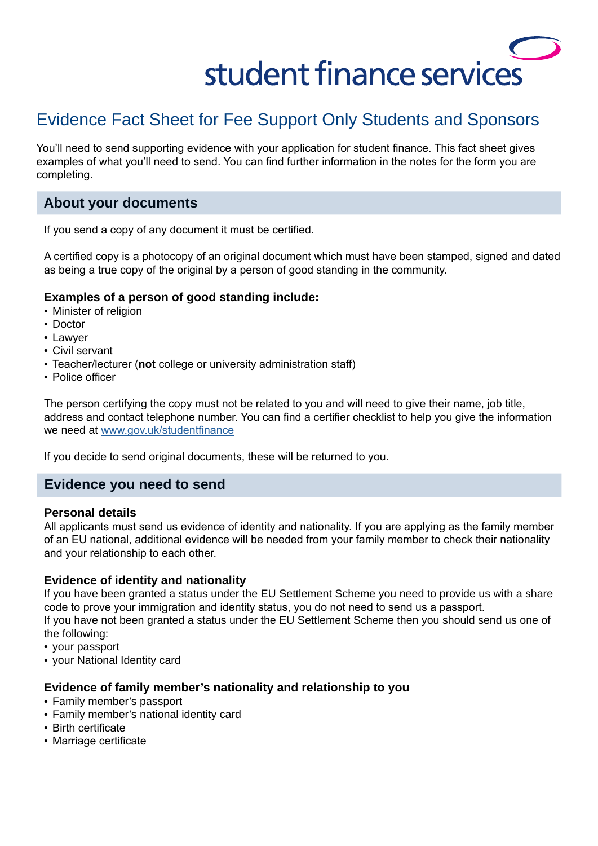# student finance services

# Evidence Fact Sheet for Fee Support Only Students and Sponsors

You'll need to send supporting evidence with your application for student finance. This fact sheet gives examples of what you'll need to send. You can find further information in the notes for the form you are completing.

## **About your documents**

If you send a copy of any document it must be certified.

A certified copy is a photocopy of an original document which must have been stamped, signed and dated as being a true copy of the original by a person of good standing in the community.

#### **Examples of a person of good standing include:**

- Minister of religion
- Doctor
- Lawyer
- Civil servant
- Teacher/lecturer (**not** college or university administration staff)
- Police officer

The person certifying the copy must not be related to you and will need to give their name, job title, address and contact telephone number. You can find a certifier checklist to help you give the information we need at [www.gov.uk/studentfinance](http://www.gov.uk/studentfinance)

If you decide to send original documents, these will be returned to you.

### **Evidence you need to send**

#### **Personal details**

All applicants must send us evidence of identity and nationality. If you are applying as the family member of an EU national, additional evidence will be needed from your family member to check their nationality and your relationship to each other.

#### **Evidence of identity and nationality**

If you have been granted a status under the EU Settlement Scheme you need to provide us with a share code to prove your immigration and identity status, you do not need to send us a passport. If you have not been granted a status under the EU Settlement Scheme then you should send us one of the following:

- your passport
- your National Identity card

#### **Evidence of family member's nationality and relationship to you**

- Family member's passport
- Family member's national identity card
- Birth certificate
- Marriage certificate